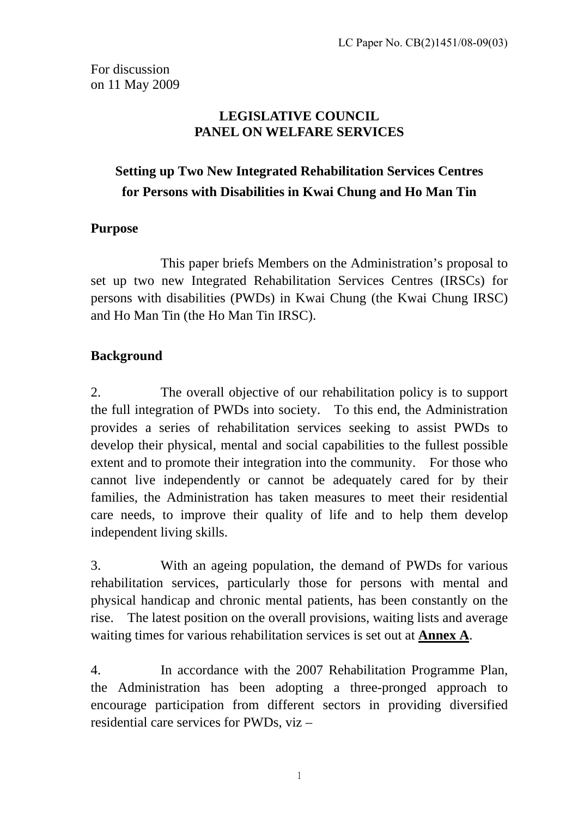For discussion on 11 May 2009

### **LEGISLATIVE COUNCIL PANEL ON WELFARE SERVICES**

# **Setting up Two New Integrated Rehabilitation Services Centres for Persons with Disabilities in Kwai Chung and Ho Man Tin**

# **Purpose**

 This paper briefs Members on the Administration's proposal to set up two new Integrated Rehabilitation Services Centres (IRSCs) for persons with disabilities (PWDs) in Kwai Chung (the Kwai Chung IRSC) and Ho Man Tin (the Ho Man Tin IRSC).

# **Background**

2. The overall objective of our rehabilitation policy is to support the full integration of PWDs into society. To this end, the Administration provides a series of rehabilitation services seeking to assist PWDs to develop their physical, mental and social capabilities to the fullest possible extent and to promote their integration into the community. For those who cannot live independently or cannot be adequately cared for by their families, the Administration has taken measures to meet their residential care needs, to improve their quality of life and to help them develop independent living skills.

3. With an ageing population, the demand of PWDs for various rehabilitation services, particularly those for persons with mental and physical handicap and chronic mental patients, has been constantly on the rise. The latest position on the overall provisions, waiting lists and average waiting times for various rehabilitation services is set out at **Annex A**.

4. In accordance with the 2007 Rehabilitation Programme Plan, the Administration has been adopting a three-pronged approach to encourage participation from different sectors in providing diversified residential care services for PWDs, viz –

1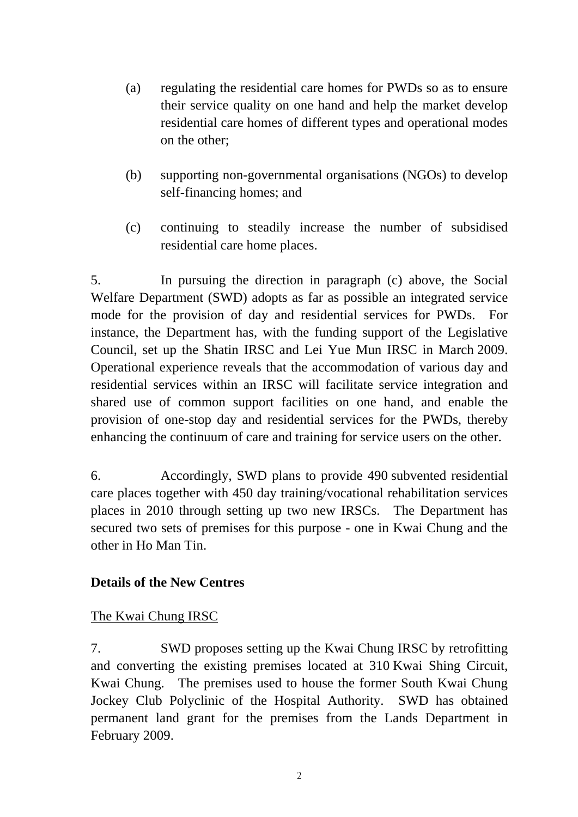- (a) regulating the residential care homes for PWDs so as to ensure their service quality on one hand and help the market develop residential care homes of different types and operational modes on the other;
- (b) supporting non-governmental organisations (NGOs) to develop self-financing homes; and
- (c) continuing to steadily increase the number of subsidised residential care home places.

5. In pursuing the direction in paragraph (c) above, the Social Welfare Department (SWD) adopts as far as possible an integrated service mode for the provision of day and residential services for PWDs. For instance, the Department has, with the funding support of the Legislative Council, set up the Shatin IRSC and Lei Yue Mun IRSC in March 2009. Operational experience reveals that the accommodation of various day and residential services within an IRSC will facilitate service integration and shared use of common support facilities on one hand, and enable the provision of one-stop day and residential services for the PWDs, thereby enhancing the continuum of care and training for service users on the other.

6. Accordingly, SWD plans to provide 490 subvented residential care places together with 450 day training/vocational rehabilitation services places in 2010 through setting up two new IRSCs. The Department has secured two sets of premises for this purpose - one in Kwai Chung and the other in Ho Man Tin.

# **Details of the New Centres**

# The Kwai Chung IRSC

7. SWD proposes setting up the Kwai Chung IRSC by retrofitting and converting the existing premises located at 310 Kwai Shing Circuit, Kwai Chung. The premises used to house the former South Kwai Chung Jockey Club Polyclinic of the Hospital Authority. SWD has obtained permanent land grant for the premises from the Lands Department in February 2009.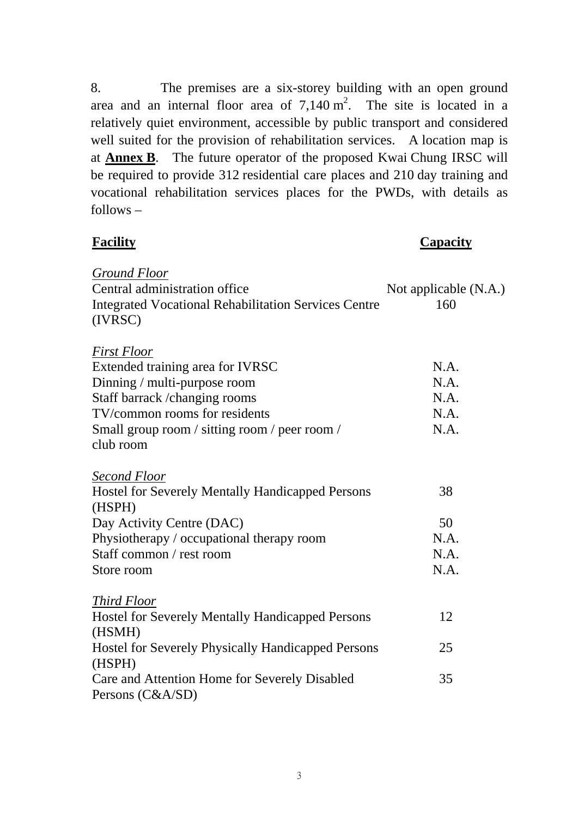8. The premises are a six-storey building with an open ground area and an internal floor area of  $7,140 \text{ m}^2$ . The site is located in a relatively quiet environment, accessible by public transport and considered well suited for the provision of rehabilitation services. A location map is at **Annex B**. The future operator of the proposed Kwai Chung IRSC will be required to provide 312 residential care places and 210 day training and vocational rehabilitation services places for the PWDs, with details as follows –

# **Facility Capacity**

| Ground Floor                                                |                       |
|-------------------------------------------------------------|-----------------------|
| Central administration office                               | Not applicable (N.A.) |
| <b>Integrated Vocational Rehabilitation Services Centre</b> | 160                   |
| (IVRSC)                                                     |                       |
|                                                             |                       |
| <b>First Floor</b>                                          |                       |
| Extended training area for IVRSC                            | N.A.                  |
| Dinning / multi-purpose room                                | N.A.                  |
| Staff barrack /changing rooms                               | N.A.                  |
| TV/common rooms for residents                               | N.A.                  |
| Small group room / sitting room / peer room /               | N.A.                  |
| club room                                                   |                       |
|                                                             |                       |
| Second Floor                                                |                       |
| <b>Hostel for Severely Mentally Handicapped Persons</b>     | 38                    |
| (HSPH)                                                      |                       |
| Day Activity Centre (DAC)                                   | 50                    |
| Physiotherapy / occupational therapy room                   | N.A.                  |
| Staff common / rest room                                    | N.A.                  |
| Store room                                                  | N.A.                  |
|                                                             |                       |
| <b>Third Floor</b>                                          |                       |
| <b>Hostel for Severely Mentally Handicapped Persons</b>     | 12                    |
| (HSMH)                                                      |                       |
| <b>Hostel for Severely Physically Handicapped Persons</b>   | 25                    |
| (HSPH)                                                      |                       |
| Care and Attention Home for Severely Disabled               | 35                    |
| Persons (C&A/SD)                                            |                       |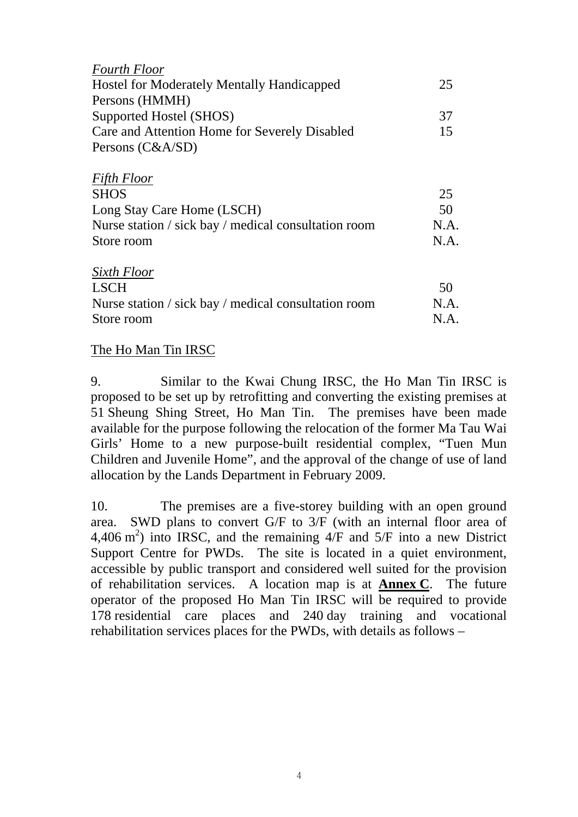| <b>Fourth Floor</b>                                  |      |
|------------------------------------------------------|------|
| <b>Hostel for Moderately Mentally Handicapped</b>    | 25   |
| Persons (HMMH)                                       |      |
| Supported Hostel (SHOS)                              | 37   |
| Care and Attention Home for Severely Disabled        | 15   |
| Persons (C&A/SD)                                     |      |
| <b>Fifth Floor</b>                                   |      |
| <b>SHOS</b>                                          | 25   |
| Long Stay Care Home (LSCH)                           | 50   |
| Nurse station / sick bay / medical consultation room | N.A. |
| Store room                                           | N.A. |
| Sixth Floor                                          |      |
| <b>LSCH</b>                                          | 50   |
| Nurse station / sick bay / medical consultation room | N.A. |
| Store room                                           | N.A. |

#### The Ho Man Tin IRSC

9. Similar to the Kwai Chung IRSC, the Ho Man Tin IRSC is proposed to be set up by retrofitting and converting the existing premises at 51 Sheung Shing Street, Ho Man Tin. The premises have been made available for the purpose following the relocation of the former Ma Tau Wai Girls' Home to a new purpose-built residential complex, "Tuen Mun Children and Juvenile Home", and the approval of the change of use of land allocation by the Lands Department in February 2009.

10. The premises are a five-storey building with an open ground area. SWD plans to convert G/F to 3/F (with an internal floor area of 4,406 m<sup>2</sup>) into IRSC, and the remaining  $4/F$  and  $5/F$  into a new District Support Centre for PWDs. The site is located in a quiet environment, accessible by public transport and considered well suited for the provision of rehabilitation services. A location map is at **Annex C**. The future operator of the proposed Ho Man Tin IRSC will be required to provide 178 residential care places and 240 day training and vocational rehabilitation services places for the PWDs, with details as follows –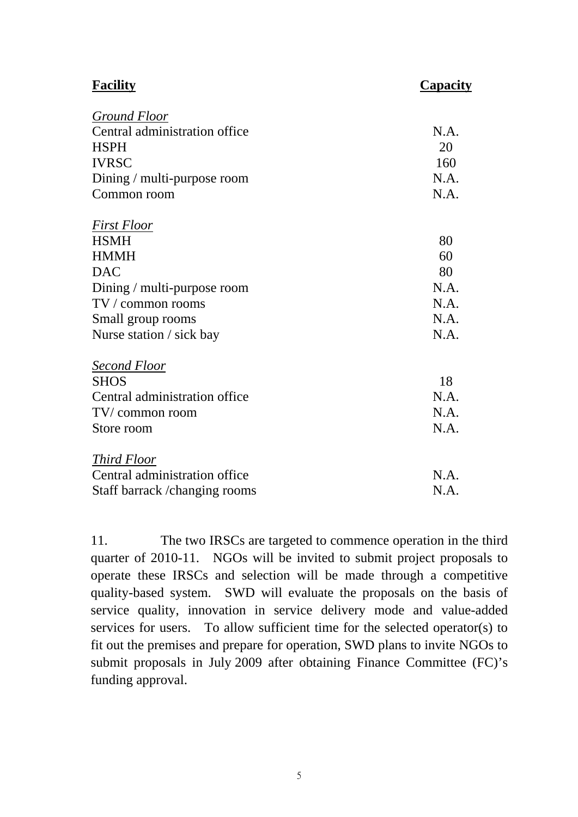| <b>Facility</b>                | Capacity |
|--------------------------------|----------|
| <b>Ground Floor</b>            |          |
| Central administration office  | N.A.     |
| <b>HSPH</b>                    | 20       |
| <b>IVRSC</b>                   | 160      |
| Dining / multi-purpose room    | N.A.     |
| Common room                    | N.A.     |
| <b>First Floor</b>             |          |
| <b>HSMH</b>                    | 80       |
| <b>HMMH</b>                    | 60       |
| <b>DAC</b>                     | 80       |
| Dining / multi-purpose room    | N.A.     |
| $TV /$ common rooms            | N.A.     |
| Small group rooms              | N.A.     |
| Nurse station / sick bay       | N.A.     |
| <b>Second Floor</b>            |          |
| <b>SHOS</b>                    | 18       |
| Central administration office  | N.A.     |
| TV/common room                 | N.A.     |
| Store room                     | N.A.     |
| <b>Third Floor</b>             |          |
| Central administration office  | N.A.     |
| Staff barrack / changing rooms | N.A.     |

11. The two IRSCs are targeted to commence operation in the third quarter of 2010-11. NGOs will be invited to submit project proposals to operate these IRSCs and selection will be made through a competitive quality-based system. SWD will evaluate the proposals on the basis of service quality, innovation in service delivery mode and value-added services for users. To allow sufficient time for the selected operator(s) to fit out the premises and prepare for operation, SWD plans to invite NGOs to submit proposals in July 2009 after obtaining Finance Committee (FC)'s funding approval.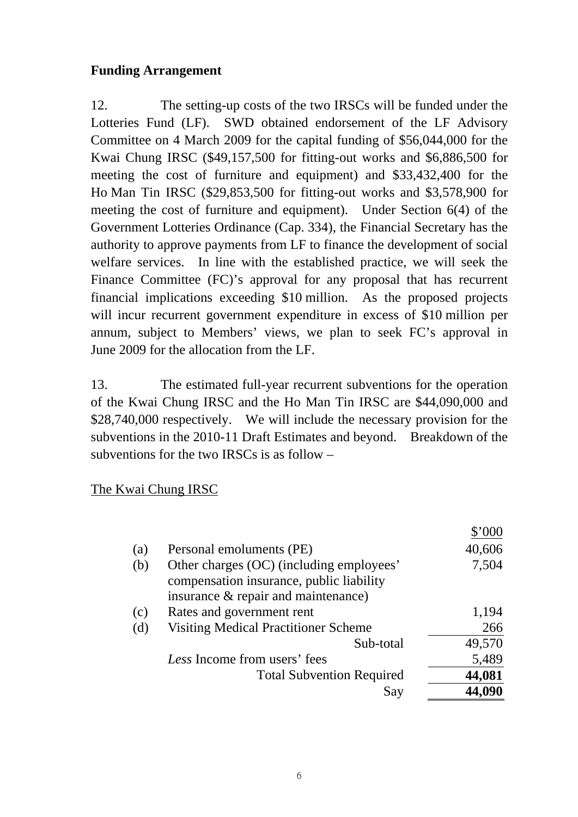## **Funding Arrangement**

12. The setting-up costs of the two IRSCs will be funded under the Lotteries Fund (LF). SWD obtained endorsement of the LF Advisory Committee on 4 March 2009 for the capital funding of \$56,044,000 for the Kwai Chung IRSC (\$49,157,500 for fitting-out works and \$6,886,500 for meeting the cost of furniture and equipment) and \$33,432,400 for the Ho Man Tin IRSC (\$29,853,500 for fitting-out works and \$3,578,900 for meeting the cost of furniture and equipment). Under Section 6(4) of the Government Lotteries Ordinance (Cap. 334), the Financial Secretary has the authority to approve payments from LF to finance the development of social welfare services. In line with the established practice, we will seek the Finance Committee (FC)'s approval for any proposal that has recurrent financial implications exceeding \$10 million. As the proposed projects will incur recurrent government expenditure in excess of \$10 million per annum, subject to Members' views, we plan to seek FC's approval in June 2009 for the allocation from the LF.

13. The estimated full-year recurrent subventions for the operation of the Kwai Chung IRSC and the Ho Man Tin IRSC are \$44,090,000 and \$28,740,000 respectively. We will include the necessary provision for the subventions in the 2010-11 Draft Estimates and beyond. Breakdown of the subventions for the two IRSCs is as follow –

#### The Kwai Chung IRSC

|     |                                                                                                                             | \$'000 |
|-----|-----------------------------------------------------------------------------------------------------------------------------|--------|
| (a) | Personal emoluments (PE)                                                                                                    | 40,606 |
| (b) | Other charges (OC) (including employees'<br>compensation insurance, public liability<br>insurance & repair and maintenance) | 7,504  |
| (c) | Rates and government rent                                                                                                   | 1,194  |
| (d) | <b>Visiting Medical Practitioner Scheme</b>                                                                                 | 266    |
|     | Sub-total                                                                                                                   | 49,570 |
|     | Less Income from users' fees                                                                                                | 5,489  |
|     | <b>Total Subvention Required</b>                                                                                            | 44,081 |
|     | Say                                                                                                                         | 44,090 |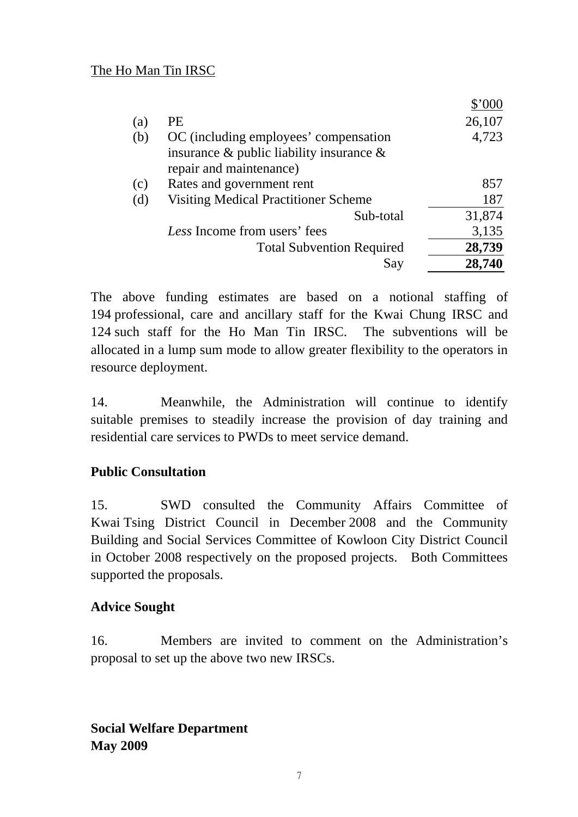|     |                                                | \$'000 |
|-----|------------------------------------------------|--------|
| (a) | PE                                             | 26,107 |
| (b) | OC (including employees' compensation          | 4,723  |
|     | insurance $\&$ public liability insurance $\&$ |        |
|     | repair and maintenance)                        |        |
| (c) | Rates and government rent                      | 857    |
| (d) | <b>Visiting Medical Practitioner Scheme</b>    | 187    |
|     | Sub-total                                      | 31,874 |
|     | Less Income from users' fees                   | 3,135  |
|     | <b>Total Subvention Required</b>               | 28,739 |
|     | Say                                            | 28,740 |

The above funding estimates are based on a notional staffing of 194 professional, care and ancillary staff for the Kwai Chung IRSC and 124 such staff for the Ho Man Tin IRSC. The subventions will be allocated in a lump sum mode to allow greater flexibility to the operators in resource deployment.

14. Meanwhile, the Administration will continue to identify suitable premises to steadily increase the provision of day training and residential care services to PWDs to meet service demand.

# **Public Consultation**

15. SWD consulted the Community Affairs Committee of Kwai Tsing District Council in December 2008 and the Community Building and Social Services Committee of Kowloon City District Council in October 2008 respectively on the proposed projects. Both Committees supported the proposals.

#### **Advice Sought**

16. Members are invited to comment on the Administration's proposal to set up the above two new IRSCs.

**Social Welfare Department May 2009**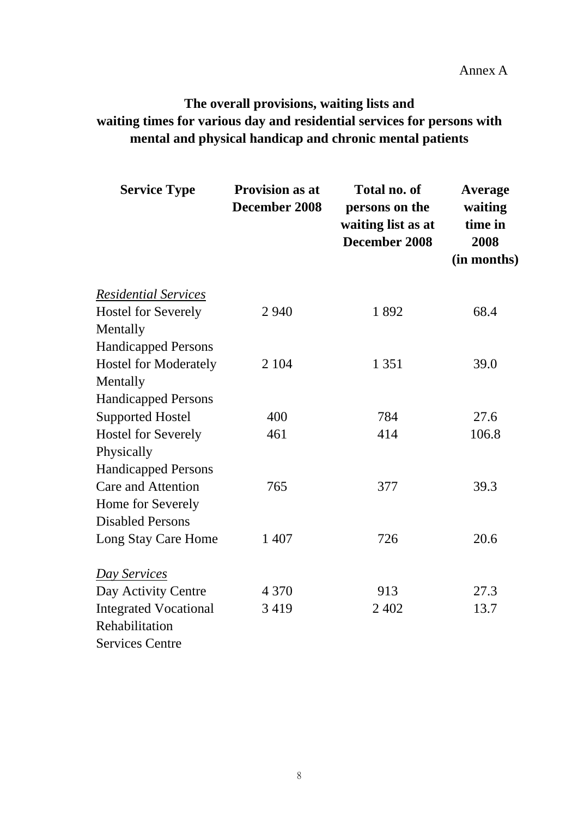Annex A

# **The overall provisions, waiting lists and waiting times for various day and residential services for persons with mental and physical handicap and chronic mental patients**

| <b>Service Type</b>          | <b>Provision as at</b><br>December 2008 | <b>Total no. of</b><br>persons on the<br>waiting list as at<br>December 2008 | <b>Average</b><br>waiting<br>time in<br>2008<br>(in months) |
|------------------------------|-----------------------------------------|------------------------------------------------------------------------------|-------------------------------------------------------------|
| <b>Residential Services</b>  |                                         |                                                                              |                                                             |
| <b>Hostel for Severely</b>   | 2 9 4 0                                 | 1892                                                                         | 68.4                                                        |
| Mentally                     |                                         |                                                                              |                                                             |
| <b>Handicapped Persons</b>   |                                         |                                                                              |                                                             |
| <b>Hostel for Moderately</b> | 2 1 0 4                                 | 1 3 5 1                                                                      | 39.0                                                        |
| Mentally                     |                                         |                                                                              |                                                             |
| <b>Handicapped Persons</b>   |                                         |                                                                              |                                                             |
| <b>Supported Hostel</b>      | 400                                     | 784                                                                          | 27.6                                                        |
| <b>Hostel for Severely</b>   | 461                                     | 414                                                                          | 106.8                                                       |
| Physically                   |                                         |                                                                              |                                                             |
| <b>Handicapped Persons</b>   |                                         |                                                                              |                                                             |
| <b>Care and Attention</b>    | 765                                     | 377                                                                          | 39.3                                                        |
| Home for Severely            |                                         |                                                                              |                                                             |
| <b>Disabled Persons</b>      |                                         |                                                                              |                                                             |
| Long Stay Care Home          | 1 407                                   | 726                                                                          | 20.6                                                        |
| Day Services                 |                                         |                                                                              |                                                             |
| Day Activity Centre          | 4 3 7 0                                 | 913                                                                          | 27.3                                                        |
| <b>Integrated Vocational</b> | 3 4 1 9                                 | 2 4 0 2                                                                      | 13.7                                                        |
| Rehabilitation               |                                         |                                                                              |                                                             |
| <b>Services Centre</b>       |                                         |                                                                              |                                                             |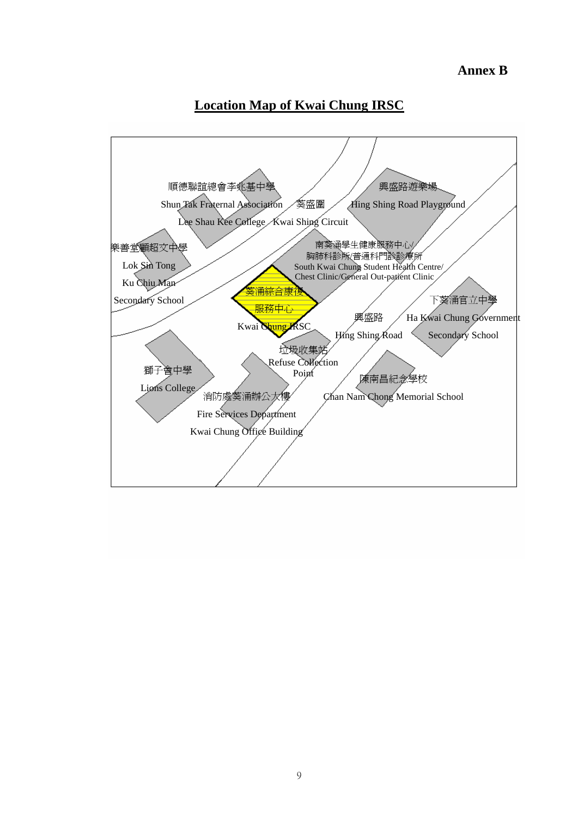#### **Annex B**

### **Location Map of Kwai Chung IRSC**